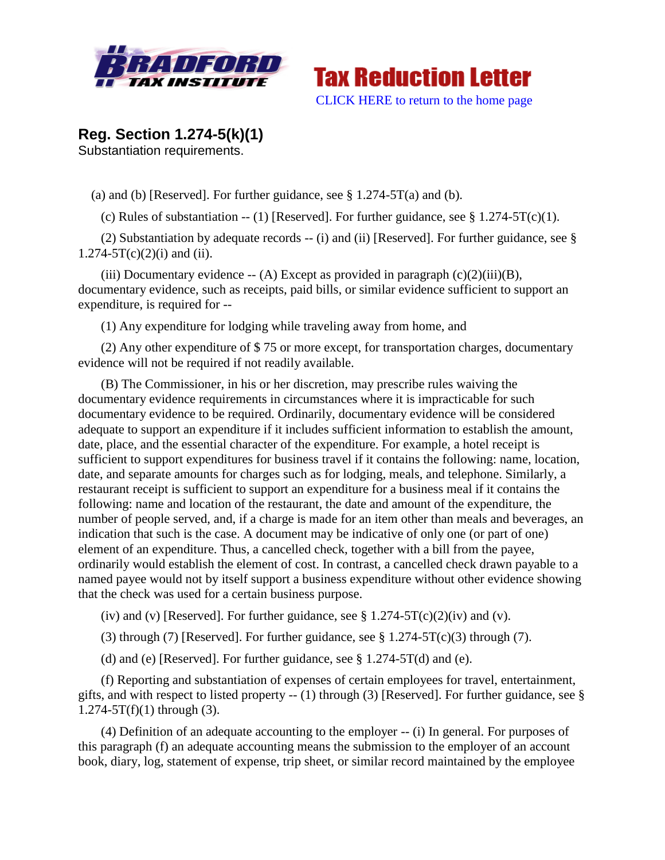



**Reg. Section 1.274-5(k)(1)** Substantiation requirements.

(a) and (b) [Reserved]. For further guidance, see  $\S 1.274-5T(a)$  and (b).

(c) Rules of substantiation -- (1) [Reserved]. For further guidance, see  $\S$  1.274-5T(c)(1).

(2) Substantiation by adequate records -- (i) and (ii) [Reserved]. For further guidance, see §  $1.274 - 5T(c)(2)(i)$  and (ii).

(iii) Documentary evidence  $-$  (A) Except as provided in paragraph  $(c)(2)(iii)(B)$ , documentary evidence, such as receipts, paid bills, or similar evidence sufficient to support an expenditure, is required for --

(1) Any expenditure for lodging while traveling away from home, and

(2) Any other expenditure of \$ 75 or more except, for transportation charges, documentary evidence will not be required if not readily available.

(B) The Commissioner, in his or her discretion, may prescribe rules waiving the documentary evidence requirements in circumstances where it is impracticable for such documentary evidence to be required. Ordinarily, documentary evidence will be considered adequate to support an expenditure if it includes sufficient information to establish the amount, date, place, and the essential character of the expenditure. For example, a hotel receipt is sufficient to support expenditures for business travel if it contains the following: name, location, date, and separate amounts for charges such as for lodging, meals, and telephone. Similarly, a restaurant receipt is sufficient to support an expenditure for a business meal if it contains the following: name and location of the restaurant, the date and amount of the expenditure, the number of people served, and, if a charge is made for an item other than meals and beverages, an indication that such is the case. A document may be indicative of only one (or part of one) element of an expenditure. Thus, a cancelled check, together with a bill from the payee, ordinarily would establish the element of cost. In contrast, a cancelled check drawn payable to a named payee would not by itself support a business expenditure without other evidence showing that the check was used for a certain business purpose.

(iv) and (v) [Reserved]. For further guidance, see  $\S 1.274-5T(c)(2)(iv)$  and (v).

(3) through (7) [Reserved]. For further guidance, see  $\S 1.274-5T(c)(3)$  through (7).

(d) and (e) [Reserved]. For further guidance, see  $\S 1.274-5T(d)$  and (e).

(f) Reporting and substantiation of expenses of certain employees for travel, entertainment, gifts, and with respect to listed property -- (1) through (3) [Reserved]. For further guidance, see §  $1.274 - 5T(f)(1)$  through (3).

(4) Definition of an adequate accounting to the employer -- (i) In general. For purposes of this paragraph (f) an adequate accounting means the submission to the employer of an account book, diary, log, statement of expense, trip sheet, or similar record maintained by the employee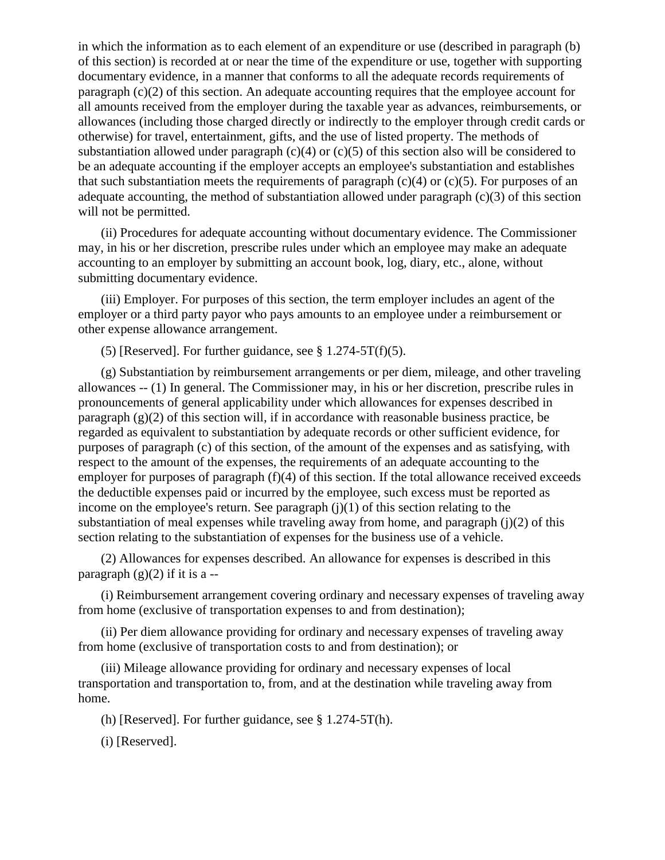in which the information as to each element of an expenditure or use (described in paragraph (b) of this section) is recorded at or near the time of the expenditure or use, together with supporting documentary evidence, in a manner that conforms to all the adequate records requirements of paragraph (c)(2) of this section. An adequate accounting requires that the employee account for all amounts received from the employer during the taxable year as advances, reimbursements, or allowances (including those charged directly or indirectly to the employer through credit cards or otherwise) for travel, entertainment, gifts, and the use of listed property. The methods of substantiation allowed under paragraph  $(c)(4)$  or  $(c)(5)$  of this section also will be considered to be an adequate accounting if the employer accepts an employee's substantiation and establishes that such substantiation meets the requirements of paragraph  $(c)(4)$  or  $(c)(5)$ . For purposes of an adequate accounting, the method of substantiation allowed under paragraph (c)(3) of this section will not be permitted.

(ii) Procedures for adequate accounting without documentary evidence. The Commissioner may, in his or her discretion, prescribe rules under which an employee may make an adequate accounting to an employer by submitting an account book, log, diary, etc., alone, without submitting documentary evidence.

(iii) Employer. For purposes of this section, the term employer includes an agent of the employer or a third party payor who pays amounts to an employee under a reimbursement or other expense allowance arrangement.

(5) [Reserved]. For further guidance, see  $\S 1.274-5T(f)(5)$ .

(g) Substantiation by reimbursement arrangements or per diem, mileage, and other traveling allowances -- (1) In general. The Commissioner may, in his or her discretion, prescribe rules in pronouncements of general applicability under which allowances for expenses described in paragraph (g)(2) of this section will, if in accordance with reasonable business practice, be regarded as equivalent to substantiation by adequate records or other sufficient evidence, for purposes of paragraph (c) of this section, of the amount of the expenses and as satisfying, with respect to the amount of the expenses, the requirements of an adequate accounting to the employer for purposes of paragraph (f)(4) of this section. If the total allowance received exceeds the deductible expenses paid or incurred by the employee, such excess must be reported as income on the employee's return. See paragraph  $(j)(1)$  of this section relating to the substantiation of meal expenses while traveling away from home, and paragraph  $(i)(2)$  of this section relating to the substantiation of expenses for the business use of a vehicle.

(2) Allowances for expenses described. An allowance for expenses is described in this paragraph  $(g)(2)$  if it is a --

(i) Reimbursement arrangement covering ordinary and necessary expenses of traveling away from home (exclusive of transportation expenses to and from destination);

(ii) Per diem allowance providing for ordinary and necessary expenses of traveling away from home (exclusive of transportation costs to and from destination); or

(iii) Mileage allowance providing for ordinary and necessary expenses of local transportation and transportation to, from, and at the destination while traveling away from home.

(h) [Reserved]. For further guidance, see § 1.274-5T(h).

(i) [Reserved].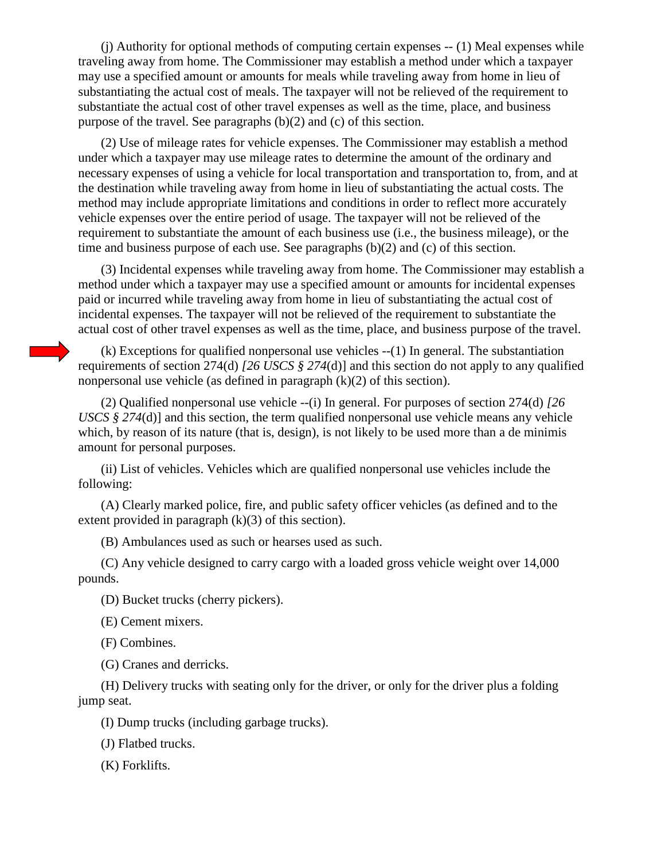(j) Authority for optional methods of computing certain expenses -- (1) Meal expenses while traveling away from home. The Commissioner may establish a method under which a taxpayer may use a specified amount or amounts for meals while traveling away from home in lieu of substantiating the actual cost of meals. The taxpayer will not be relieved of the requirement to substantiate the actual cost of other travel expenses as well as the time, place, and business purpose of the travel. See paragraphs (b)(2) and (c) of this section.

(2) Use of mileage rates for vehicle expenses. The Commissioner may establish a method under which a taxpayer may use mileage rates to determine the amount of the ordinary and necessary expenses of using a vehicle for local transportation and transportation to, from, and at the destination while traveling away from home in lieu of substantiating the actual costs. The method may include appropriate limitations and conditions in order to reflect more accurately vehicle expenses over the entire period of usage. The taxpayer will not be relieved of the requirement to substantiate the amount of each business use (i.e., the business mileage), or the time and business purpose of each use. See paragraphs (b)(2) and (c) of this section.

(3) Incidental expenses while traveling away from home. The Commissioner may establish a method under which a taxpayer may use a specified amount or amounts for incidental expenses paid or incurred while traveling away from home in lieu of substantiating the actual cost of incidental expenses. The taxpayer will not be relieved of the requirement to substantiate the actual cost of other travel expenses as well as the time, place, and business purpose of the travel.

(k) Exceptions for qualified nonpersonal use vehicles --(1) In general. The substantiation requirements of section 274(d) *[26 USCS § 274*(d)] and this section do not apply to any qualified nonpersonal use vehicle (as defined in paragraph (k)(2) of this section).

(2) Qualified nonpersonal use vehicle --(i) In general. For purposes of section 274(d) *[26 USCS § 274*(d)] and this section, the term qualified nonpersonal use vehicle means any vehicle which, by reason of its nature (that is, design), is not likely to be used more than a de minimis amount for personal purposes.

(ii) List of vehicles. Vehicles which are qualified nonpersonal use vehicles include the following:

(A) Clearly marked police, fire, and public safety officer vehicles (as defined and to the extent provided in paragraph  $(k)(3)$  of this section).

(B) Ambulances used as such or hearses used as such.

(C) Any vehicle designed to carry cargo with a loaded gross vehicle weight over 14,000 pounds.

(D) Bucket trucks (cherry pickers).

(E) Cement mixers.

(F) Combines.

(G) Cranes and derricks.

(H) Delivery trucks with seating only for the driver, or only for the driver plus a folding jump seat.

(I) Dump trucks (including garbage trucks).

(J) Flatbed trucks.

(K) Forklifts.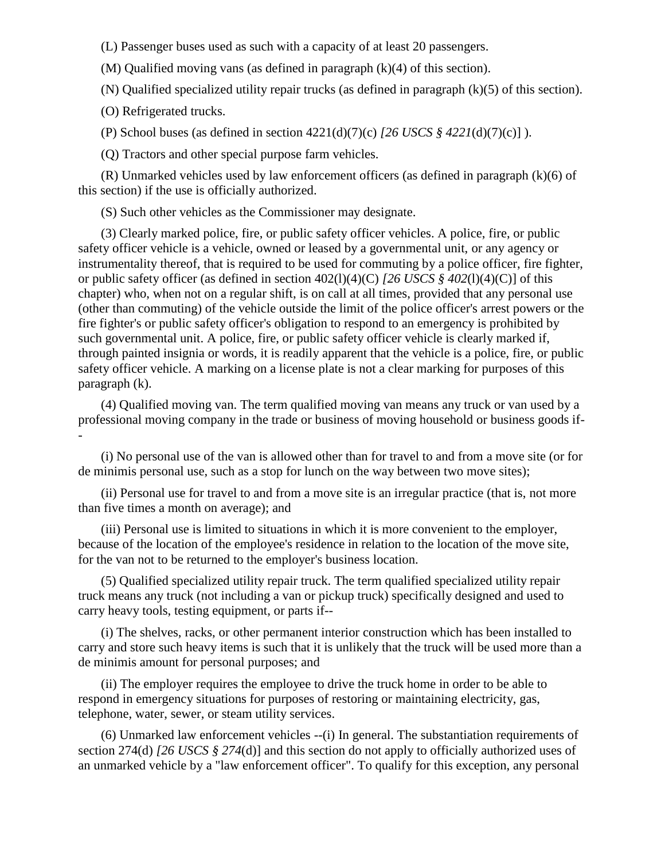(L) Passenger buses used as such with a capacity of at least 20 passengers.

(M) Qualified moving vans (as defined in paragraph (k)(4) of this section).

(N) Qualified specialized utility repair trucks (as defined in paragraph (k)(5) of this section).

(O) Refrigerated trucks.

(P) School buses (as defined in section 4221(d)(7)(c) *[26 USCS § 4221*(d)(7)(c)] ).

(Q) Tractors and other special purpose farm vehicles.

(R) Unmarked vehicles used by law enforcement officers (as defined in paragraph (k)(6) of this section) if the use is officially authorized.

(S) Such other vehicles as the Commissioner may designate.

(3) Clearly marked police, fire, or public safety officer vehicles. A police, fire, or public safety officer vehicle is a vehicle, owned or leased by a governmental unit, or any agency or instrumentality thereof, that is required to be used for commuting by a police officer, fire fighter, or public safety officer (as defined in section 402(l)(4)(C) *[26 USCS § 402*(l)(4)(C)] of this chapter) who, when not on a regular shift, is on call at all times, provided that any personal use (other than commuting) of the vehicle outside the limit of the police officer's arrest powers or the fire fighter's or public safety officer's obligation to respond to an emergency is prohibited by such governmental unit. A police, fire, or public safety officer vehicle is clearly marked if, through painted insignia or words, it is readily apparent that the vehicle is a police, fire, or public safety officer vehicle. A marking on a license plate is not a clear marking for purposes of this paragraph (k).

(4) Qualified moving van. The term qualified moving van means any truck or van used by a professional moving company in the trade or business of moving household or business goods if- -

(i) No personal use of the van is allowed other than for travel to and from a move site (or for de minimis personal use, such as a stop for lunch on the way between two move sites);

(ii) Personal use for travel to and from a move site is an irregular practice (that is, not more than five times a month on average); and

(iii) Personal use is limited to situations in which it is more convenient to the employer, because of the location of the employee's residence in relation to the location of the move site, for the van not to be returned to the employer's business location.

(5) Qualified specialized utility repair truck. The term qualified specialized utility repair truck means any truck (not including a van or pickup truck) specifically designed and used to carry heavy tools, testing equipment, or parts if--

(i) The shelves, racks, or other permanent interior construction which has been installed to carry and store such heavy items is such that it is unlikely that the truck will be used more than a de minimis amount for personal purposes; and

(ii) The employer requires the employee to drive the truck home in order to be able to respond in emergency situations for purposes of restoring or maintaining electricity, gas, telephone, water, sewer, or steam utility services.

(6) Unmarked law enforcement vehicles --(i) In general. The substantiation requirements of section 274(d) *[26 USCS § 274*(d)] and this section do not apply to officially authorized uses of an unmarked vehicle by a "law enforcement officer". To qualify for this exception, any personal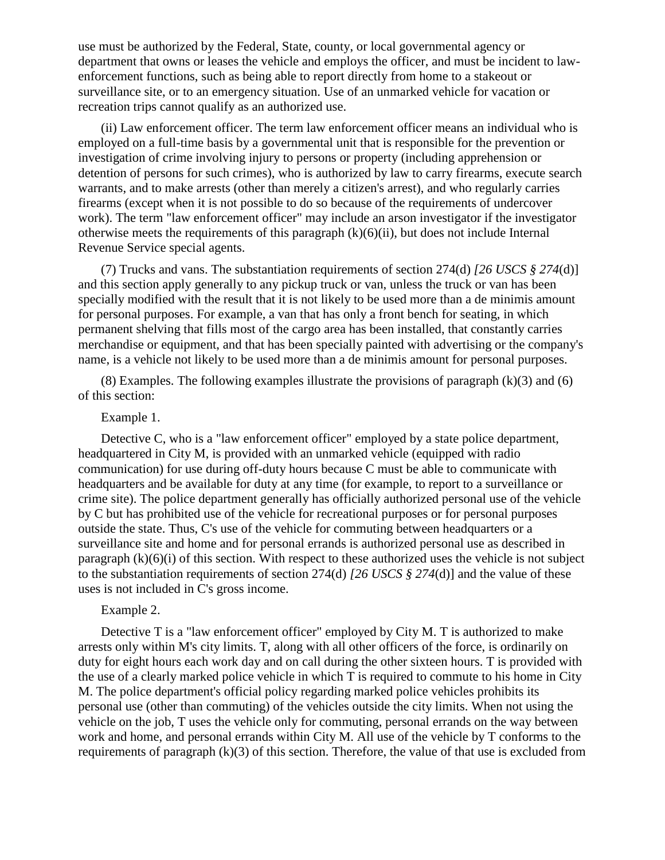use must be authorized by the Federal, State, county, or local governmental agency or department that owns or leases the vehicle and employs the officer, and must be incident to lawenforcement functions, such as being able to report directly from home to a stakeout or surveillance site, or to an emergency situation. Use of an unmarked vehicle for vacation or recreation trips cannot qualify as an authorized use.

(ii) Law enforcement officer. The term law enforcement officer means an individual who is employed on a full-time basis by a governmental unit that is responsible for the prevention or investigation of crime involving injury to persons or property (including apprehension or detention of persons for such crimes), who is authorized by law to carry firearms, execute search warrants, and to make arrests (other than merely a citizen's arrest), and who regularly carries firearms (except when it is not possible to do so because of the requirements of undercover work). The term "law enforcement officer" may include an arson investigator if the investigator otherwise meets the requirements of this paragraph  $(k)(6)(ii)$ , but does not include Internal Revenue Service special agents.

(7) Trucks and vans. The substantiation requirements of section 274(d) *[26 USCS § 274*(d)] and this section apply generally to any pickup truck or van, unless the truck or van has been specially modified with the result that it is not likely to be used more than a de minimis amount for personal purposes. For example, a van that has only a front bench for seating, in which permanent shelving that fills most of the cargo area has been installed, that constantly carries merchandise or equipment, and that has been specially painted with advertising or the company's name, is a vehicle not likely to be used more than a de minimis amount for personal purposes.

(8) Examples. The following examples illustrate the provisions of paragraph (k)(3) and (6) of this section:

## Example 1.

Detective C, who is a "law enforcement officer" employed by a state police department, headquartered in City M, is provided with an unmarked vehicle (equipped with radio communication) for use during off-duty hours because C must be able to communicate with headquarters and be available for duty at any time (for example, to report to a surveillance or crime site). The police department generally has officially authorized personal use of the vehicle by C but has prohibited use of the vehicle for recreational purposes or for personal purposes outside the state. Thus, C's use of the vehicle for commuting between headquarters or a surveillance site and home and for personal errands is authorized personal use as described in paragraph  $(k)(6)(i)$  of this section. With respect to these authorized uses the vehicle is not subject to the substantiation requirements of section 274(d) *[26 USCS § 274*(d)] and the value of these uses is not included in C's gross income.

## Example 2.

Detective T is a "law enforcement officer" employed by City M. T is authorized to make arrests only within M's city limits. T, along with all other officers of the force, is ordinarily on duty for eight hours each work day and on call during the other sixteen hours. T is provided with the use of a clearly marked police vehicle in which T is required to commute to his home in City M. The police department's official policy regarding marked police vehicles prohibits its personal use (other than commuting) of the vehicles outside the city limits. When not using the vehicle on the job, T uses the vehicle only for commuting, personal errands on the way between work and home, and personal errands within City M. All use of the vehicle by T conforms to the requirements of paragraph  $(k)(3)$  of this section. Therefore, the value of that use is excluded from